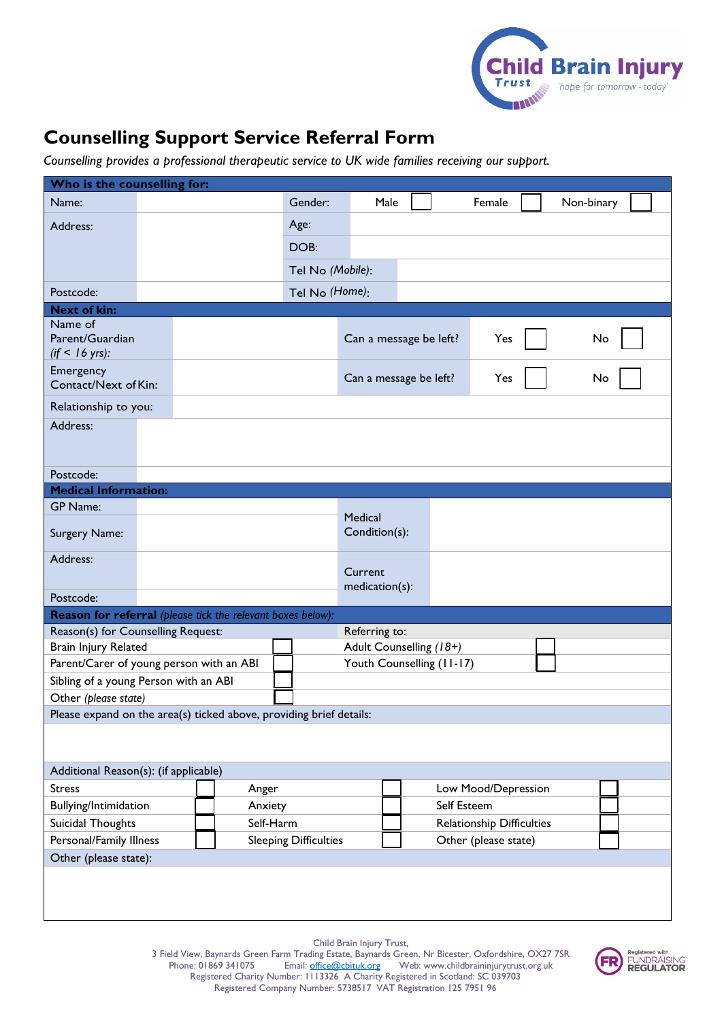

## **Counselling Support Service Referral Form**

*Counselling provides a professional therapeutic service to UK wide families receiving our support.* 

| Who is the counselling for:                                         |  |                                                                    |                          |                           |                                  |  |        |            |  |
|---------------------------------------------------------------------|--|--------------------------------------------------------------------|--------------------------|---------------------------|----------------------------------|--|--------|------------|--|
| Name:                                                               |  |                                                                    | Gender:                  | Male                      |                                  |  | Female | Non-binary |  |
| Address:                                                            |  |                                                                    | Age:                     |                           |                                  |  |        |            |  |
|                                                                     |  |                                                                    | DOB:                     |                           |                                  |  |        |            |  |
|                                                                     |  |                                                                    | Tel No (Mobile):         |                           |                                  |  |        |            |  |
| Postcode:                                                           |  |                                                                    | Tel No (Home):           |                           |                                  |  |        |            |  |
| <b>Next of kin:</b>                                                 |  |                                                                    |                          |                           |                                  |  |        |            |  |
| Name of                                                             |  |                                                                    |                          |                           |                                  |  |        |            |  |
| Parent/Guardian<br>$(if < 16$ yrs):                                 |  |                                                                    |                          | Can a message be left?    |                                  |  | Yes    | No         |  |
| Emergency<br>Contact/Next of Kin:                                   |  |                                                                    |                          | Can a message be left?    |                                  |  | Yes    | No         |  |
| Relationship to you:                                                |  |                                                                    |                          |                           |                                  |  |        |            |  |
| Address:                                                            |  |                                                                    |                          |                           |                                  |  |        |            |  |
|                                                                     |  |                                                                    |                          |                           |                                  |  |        |            |  |
| Postcode:                                                           |  |                                                                    |                          |                           |                                  |  |        |            |  |
| <b>Medical Information:</b>                                         |  |                                                                    |                          |                           |                                  |  |        |            |  |
| <b>GP Name:</b>                                                     |  |                                                                    |                          |                           |                                  |  |        |            |  |
| Surgery Name:                                                       |  |                                                                    | Medical<br>Condition(s): |                           |                                  |  |        |            |  |
| Address:                                                            |  |                                                                    |                          |                           |                                  |  |        |            |  |
|                                                                     |  |                                                                    |                          | Current<br>medication(s): |                                  |  |        |            |  |
| Postcode:                                                           |  |                                                                    |                          |                           |                                  |  |        |            |  |
|                                                                     |  | <b>Reason for referral</b> (please tick the relevant boxes below): |                          |                           |                                  |  |        |            |  |
| Reason(s) for Counselling Request:                                  |  |                                                                    |                          | Referring to:             |                                  |  |        |            |  |
| Brain Injury Related                                                |  |                                                                    |                          | Adult Counselling (18+)   |                                  |  |        |            |  |
| Parent/Carer of young person with an ABI                            |  |                                                                    |                          | Youth Counselling (11-17) |                                  |  |        |            |  |
| Sibling of a young Person with an ABI                               |  |                                                                    |                          |                           |                                  |  |        |            |  |
| Other (please state)                                                |  |                                                                    |                          |                           |                                  |  |        |            |  |
| Please expand on the area(s) ticked above, providing brief details: |  |                                                                    |                          |                           |                                  |  |        |            |  |
|                                                                     |  |                                                                    |                          |                           |                                  |  |        |            |  |
| Additional Reason(s): (if applicable)                               |  |                                                                    |                          |                           |                                  |  |        |            |  |
| <b>Stress</b><br>Anger                                              |  |                                                                    | Low Mood/Depression      |                           |                                  |  |        |            |  |
| Bullying/Intimidation<br>Anxiety                                    |  |                                                                    |                          |                           | Self Esteem                      |  |        |            |  |
| Self-Harm<br>Suicidal Thoughts                                      |  |                                                                    |                          |                           | <b>Relationship Difficulties</b> |  |        |            |  |
| Personal/Family Illness                                             |  | <b>Sleeping Difficulties</b>                                       |                          | Other (please state)      |                                  |  |        |            |  |
| Other (please state):                                               |  |                                                                    |                          |                           |                                  |  |        |            |  |
|                                                                     |  |                                                                    |                          |                           |                                  |  |        |            |  |

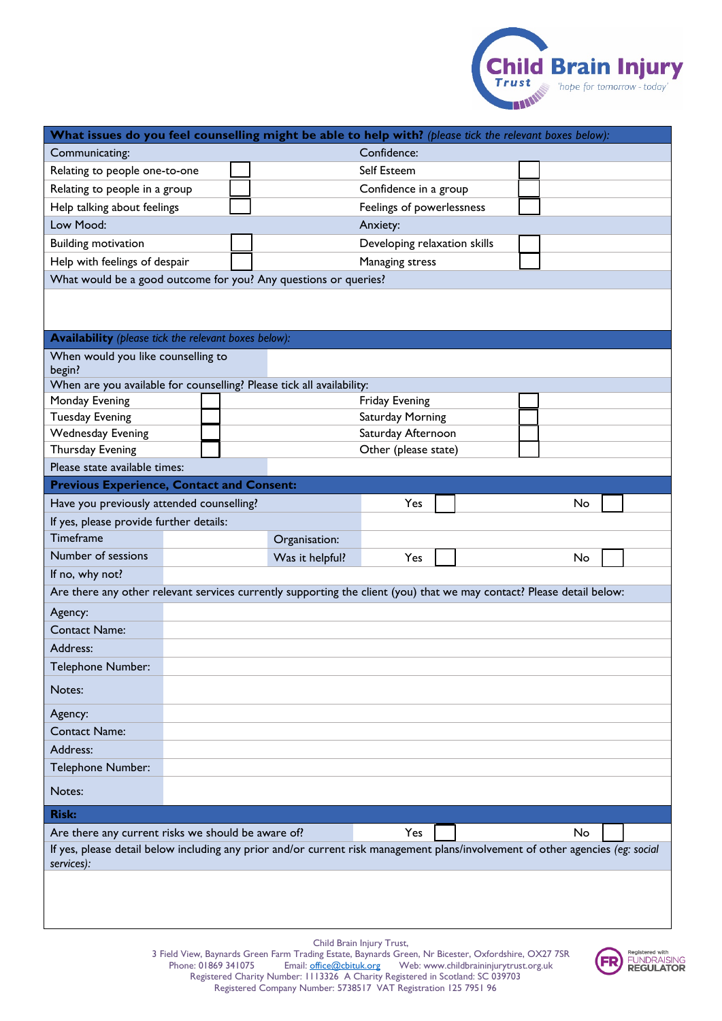

| What issues do you feel counselling might be able to help with? (please tick the relevant boxes below):                                      |          |                 |                              |                    |  |    |  |
|----------------------------------------------------------------------------------------------------------------------------------------------|----------|-----------------|------------------------------|--------------------|--|----|--|
| Confidence:<br>Communicating:                                                                                                                |          |                 |                              |                    |  |    |  |
| Relating to people one-to-one                                                                                                                |          |                 | Self Esteem                  |                    |  |    |  |
| Relating to people in a group                                                                                                                |          |                 | Confidence in a group        |                    |  |    |  |
| Help talking about feelings                                                                                                                  |          |                 | Feelings of powerlessness    |                    |  |    |  |
| Low Mood:                                                                                                                                    | Anxiety: |                 |                              |                    |  |    |  |
| <b>Building motivation</b>                                                                                                                   |          |                 | Developing relaxation skills |                    |  |    |  |
| Help with feelings of despair                                                                                                                |          |                 | Managing stress              |                    |  |    |  |
| What would be a good outcome for you? Any questions or queries?                                                                              |          |                 |                              |                    |  |    |  |
|                                                                                                                                              |          |                 |                              |                    |  |    |  |
|                                                                                                                                              |          |                 |                              |                    |  |    |  |
| <b>Availability</b> (please tick the relevant boxes below):                                                                                  |          |                 |                              |                    |  |    |  |
| When would you like counselling to<br>begin?                                                                                                 |          |                 |                              |                    |  |    |  |
| When are you available for counselling? Please tick all availability:                                                                        |          |                 |                              |                    |  |    |  |
| Monday Evening                                                                                                                               |          |                 | <b>Friday Evening</b>        |                    |  |    |  |
| <b>Tuesday Evening</b>                                                                                                                       |          |                 |                              | Saturday Morning   |  |    |  |
| <b>Wednesday Evening</b>                                                                                                                     |          |                 |                              | Saturday Afternoon |  |    |  |
| Thursday Evening                                                                                                                             |          |                 | Other (please state)         |                    |  |    |  |
| Please state available times:                                                                                                                |          |                 |                              |                    |  |    |  |
| <b>Previous Experience, Contact and Consent:</b>                                                                                             |          |                 |                              |                    |  |    |  |
| Have you previously attended counselling?                                                                                                    |          |                 | Yes                          |                    |  | No |  |
| If yes, please provide further details:                                                                                                      |          |                 |                              |                    |  |    |  |
| Timeframe                                                                                                                                    |          | Organisation:   |                              |                    |  |    |  |
| Number of sessions                                                                                                                           |          | Was it helpful? | Yes                          |                    |  | No |  |
| If no, why not?                                                                                                                              |          |                 |                              |                    |  |    |  |
| Are there any other relevant services currently supporting the client (you) that we may contact? Please detail below:                        |          |                 |                              |                    |  |    |  |
| Agency:                                                                                                                                      |          |                 |                              |                    |  |    |  |
| <b>Contact Name:</b>                                                                                                                         |          |                 |                              |                    |  |    |  |
| Address:                                                                                                                                     |          |                 |                              |                    |  |    |  |
| Telephone Number:                                                                                                                            |          |                 |                              |                    |  |    |  |
| Notes:                                                                                                                                       |          |                 |                              |                    |  |    |  |
| Agency:                                                                                                                                      |          |                 |                              |                    |  |    |  |
| <b>Contact Name:</b>                                                                                                                         |          |                 |                              |                    |  |    |  |
| Address:                                                                                                                                     |          |                 |                              |                    |  |    |  |
| Telephone Number:                                                                                                                            |          |                 |                              |                    |  |    |  |
| Notes:                                                                                                                                       |          |                 |                              |                    |  |    |  |
| <b>Risk:</b>                                                                                                                                 |          |                 |                              |                    |  |    |  |
| Are there any current risks we should be aware of?                                                                                           |          |                 | Yes                          |                    |  | No |  |
| If yes, please detail below including any prior and/or current risk management plans/involvement of other agencies (eg: social<br>services): |          |                 |                              |                    |  |    |  |
|                                                                                                                                              |          |                 |                              |                    |  |    |  |
|                                                                                                                                              |          |                 |                              |                    |  |    |  |